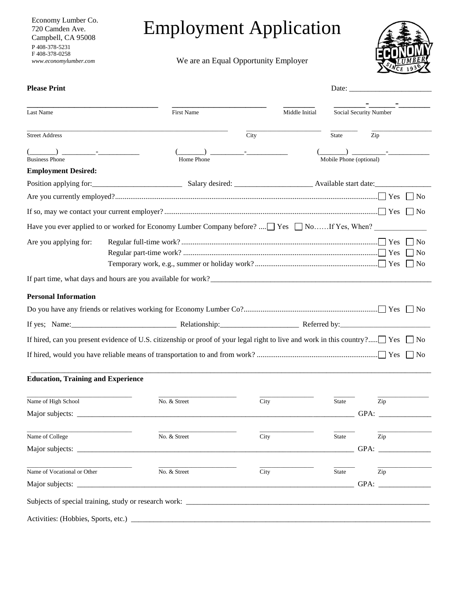Economy Lumber Co. 720 Camden Ave. Campbell, CA 95008 P 408-378-5231 F 408-378-0258 *www.economylumber.com*

## Employment Application

We are an Equal Opportunity Employer



| <b>Please Print</b>                                 |                                                                                                                                                                                                                                                                                                                                                                                                       |                |                         | Date:                     |
|-----------------------------------------------------|-------------------------------------------------------------------------------------------------------------------------------------------------------------------------------------------------------------------------------------------------------------------------------------------------------------------------------------------------------------------------------------------------------|----------------|-------------------------|---------------------------|
| Last Name                                           | <b>First Name</b>                                                                                                                                                                                                                                                                                                                                                                                     | Middle Initial |                         | Social Security Number    |
| <b>Street Address</b>                               |                                                                                                                                                                                                                                                                                                                                                                                                       | City           | State                   | Zip                       |
|                                                     | ) and the set of $\overline{\phantom{a}}$ and $\overline{\phantom{a}}$ and $\overline{\phantom{a}}$ and $\overline{\phantom{a}}$ and $\overline{\phantom{a}}$ and $\overline{\phantom{a}}$ and $\overline{\phantom{a}}$ and $\overline{\phantom{a}}$ and $\overline{\phantom{a}}$ and $\overline{\phantom{a}}$ and $\overline{\phantom{a}}$ and $\overline{\phantom{a}}$ and $\overline{\phantom{a}}$ |                |                         |                           |
| <b>Business Phone</b><br><b>Employment Desired:</b> | Home Phone                                                                                                                                                                                                                                                                                                                                                                                            |                | Mobile Phone (optional) |                           |
|                                                     |                                                                                                                                                                                                                                                                                                                                                                                                       |                |                         |                           |
|                                                     |                                                                                                                                                                                                                                                                                                                                                                                                       |                |                         | $\vert$   No              |
|                                                     |                                                                                                                                                                                                                                                                                                                                                                                                       |                |                         | $\vert$   No              |
|                                                     | Have you ever applied to or worked for Economy Lumber Company before? $\Box$ Yes $\Box$ NoIf Yes, When?                                                                                                                                                                                                                                                                                               |                |                         |                           |
| Are you applying for:                               |                                                                                                                                                                                                                                                                                                                                                                                                       |                |                         | No<br>$ $ No<br>$\Box$ No |
|                                                     |                                                                                                                                                                                                                                                                                                                                                                                                       |                |                         |                           |
| <b>Personal Information</b>                         |                                                                                                                                                                                                                                                                                                                                                                                                       |                |                         |                           |
|                                                     |                                                                                                                                                                                                                                                                                                                                                                                                       |                |                         | $\Box$ No                 |
|                                                     |                                                                                                                                                                                                                                                                                                                                                                                                       |                |                         |                           |
|                                                     |                                                                                                                                                                                                                                                                                                                                                                                                       |                |                         | $\vert$   No              |
|                                                     |                                                                                                                                                                                                                                                                                                                                                                                                       |                |                         | $\overline{N}$            |
| <b>Education, Training and Experience</b>           |                                                                                                                                                                                                                                                                                                                                                                                                       |                |                         |                           |
| Name of High School                                 | No. & Street                                                                                                                                                                                                                                                                                                                                                                                          | City           | <b>State</b>            | Zip                       |
|                                                     |                                                                                                                                                                                                                                                                                                                                                                                                       |                |                         | GPA:                      |
|                                                     |                                                                                                                                                                                                                                                                                                                                                                                                       |                |                         |                           |
| Name of College                                     | No. & Street                                                                                                                                                                                                                                                                                                                                                                                          | City           | State                   | Zip                       |
|                                                     |                                                                                                                                                                                                                                                                                                                                                                                                       |                |                         |                           |
| Name of Vocational or Other                         | No. & Street                                                                                                                                                                                                                                                                                                                                                                                          | City           | State                   | Zip                       |
|                                                     |                                                                                                                                                                                                                                                                                                                                                                                                       |                |                         |                           |
|                                                     |                                                                                                                                                                                                                                                                                                                                                                                                       |                |                         |                           |
|                                                     |                                                                                                                                                                                                                                                                                                                                                                                                       |                |                         |                           |
|                                                     |                                                                                                                                                                                                                                                                                                                                                                                                       |                |                         |                           |